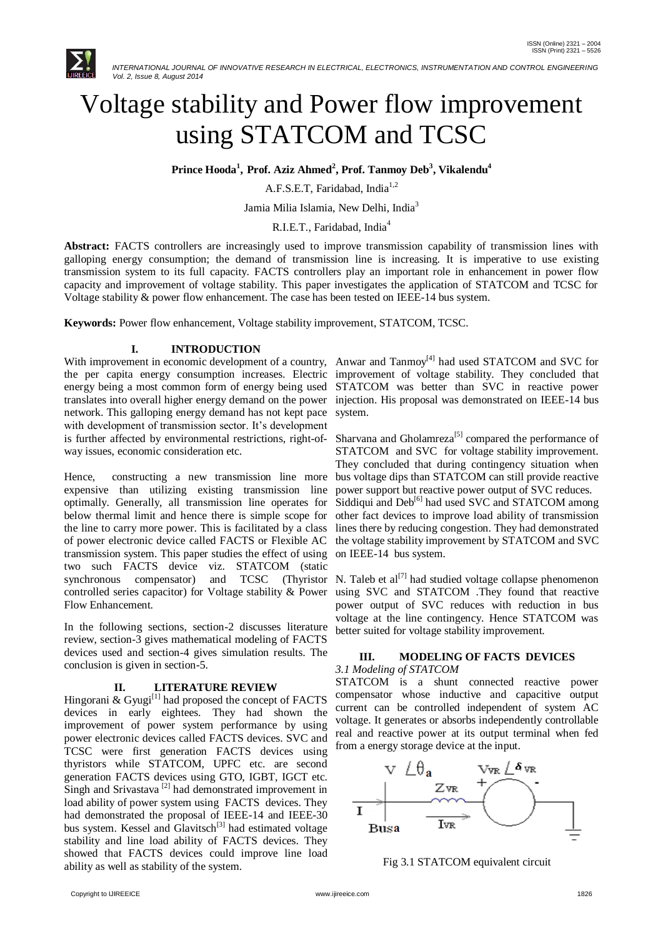

 *INTERNATIONAL JOURNAL OF INNOVATIVE RESEARCH IN ELECTRICAL, ELECTRONICS, INSTRUMENTATION AND CONTROL ENGINEERING Vol. 2, Issue 8, August 2014*

# Voltage stability and Power flow improvement using STATCOM and TCSC

 $\mathbf{P}$ rince  $\mathbf{H}$ ooda $^{1}$ ,  $\mathbf{P}$ rof. Aziz Ahmed $^{2}$ ,  $\mathbf{P}$ rof. Tanmoy  $\mathbf{Deb}^{3}$ , Vikalendu $^{4}$ 

A.F.S.E.T, Faridabad, India<sup>1,2</sup>

Jamia Milia Islamia, New Delhi, India<sup>3</sup>

R.I.E.T., Faridabad, India<sup>4</sup>

**Abstract:** FACTS controllers are increasingly used to improve transmission capability of transmission lines with galloping energy consumption; the demand of transmission line is increasing. It is imperative to use existing transmission system to its full capacity. FACTS controllers play an important role in enhancement in power flow capacity and improvement of voltage stability. This paper investigates the application of STATCOM and TCSC for Voltage stability & power flow enhancement. The case has been tested on IEEE-14 bus system.

**Keywords:** Power flow enhancement, Voltage stability improvement, STATCOM, TCSC.

## **I. INTRODUCTION**

the per capita energy consumption increases. Electric improvement of voltage stability. They concluded that energy being a most common form of energy being used STATCOM was better than SVC in reactive power translates into overall higher energy demand on the power injection. His proposal was demonstrated on IEEE-14 bus network. This galloping energy demand has not kept pace with development of transmission sector. It's development is further affected by environmental restrictions, right-ofway issues, economic consideration etc.

Hence, constructing a new transmission line more expensive than utilizing existing transmission line optimally. Generally, all transmission line operates for below thermal limit and hence there is simple scope for the line to carry more power. This is facilitated by a class of power electronic device called FACTS or Flexible AC transmission system. This paper studies the effect of using two such FACTS device viz. STATCOM (static synchronous compensator) and controlled series capacitor) for Voltage stability & Power using SVC and STATCOM .They found that reactive Flow Enhancement.

In the following sections, section-2 discusses literature review, section-3 gives mathematical modeling of FACTS devices used and section-4 gives simulation results. The conclusion is given in section-5.

# **II. LITERATURE REVIEW**

Hingorani & Gyugi<sup>[1]</sup> had proposed the concept of FACTS devices in early eightees. They had shown the improvement of power system performance by using power electronic devices called FACTS devices. SVC and TCSC were first generation FACTS devices using thyristors while STATCOM, UPFC etc. are second generation FACTS devices using GTO, IGBT, IGCT etc. Singh and Srivastava<sup>[2]</sup> had demonstrated improvement in load ability of power system using FACTS devices. They had demonstrated the proposal of IEEE-14 and IEEE-30 bus system. Kessel and Glavitsch<sup>[3]</sup> had estimated voltage stability and line load ability of FACTS devices. They showed that FACTS devices could improve line load ability as well as stability of the system.

With improvement in economic development of a country, Anwar and Tanmoy<sup>[4]</sup> had used STATCOM and SVC for system.

> Sharvana and Gholamreza<sup>[5]</sup> compared the performance of STATCOM and SVC for voltage stability improvement. They concluded that during contingency situation when bus voltage dips than STATCOM can still provide reactive power support but reactive power output of SVC reduces. Siddiqui and  $Deb<sup>[6]</sup>$  had used SVC and STATCOM among other fact devices to improve load ability of transmission lines there by reducing congestion. They had demonstrated the voltage stability improvement by STATCOM and SVC on IEEE-14 bus system.

TCSC (Thyristor N. Taleb et al<sup>[7]</sup> had studied voltage collapse phenomenon power output of SVC reduces with reduction in bus voltage at the line contingency. Hence STATCOM was better suited for voltage stability improvement.

## **III. MODELING OF FACTS DEVICES** *3.1 Modeling of STATCOM*

STATCOM is a shunt connected reactive power compensator whose inductive and capacitive output current can be controlled independent of system AC voltage. It generates or absorbs independently controllable real and reactive power at its output terminal when fed from a energy storage device at the input.



Fig 3.1 STATCOM equivalent circuit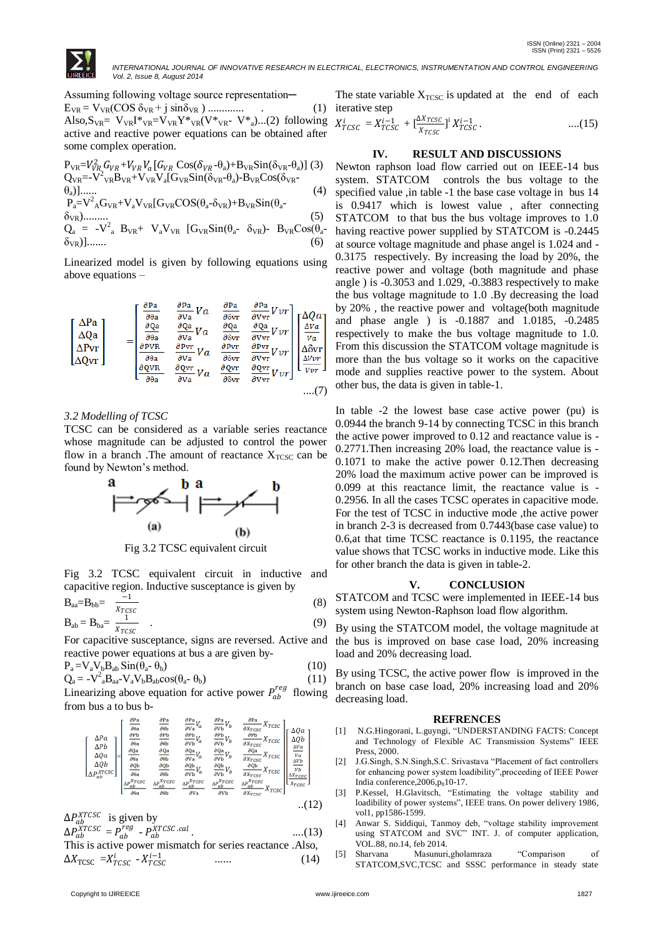

 *INTERNATIONAL JOURNAL OF INNOVATIVE RESEARCH IN ELECTRICAL, ELECTRONICS, INSTRUMENTATION AND CONTROL ENGINEERING Vol. 2, Issue 8, August 2014*

Assuming following voltage source representation-EVR = VVR(COS δVR + j sinδVR ) ............. . (1) Also, $S_{VR} = V_{VR}I^*V_{VR} = V_{VR}Y^*V_{VR}(V^*V_{VR} - V^*V_{a})$ ...(2) following active and reactive power equations can be obtained after some complex operation.

$$
P_{VR} = V_{VR}^{2} G_{VR} + V_{VR} V_{a} [G_{VR} \cos(\delta_{VR} - \theta_{a}) + B_{VR} \sin(\delta_{VR} - \theta_{a})] (3)
$$
  
\n
$$
Q_{VR} = -V^{2} {}_{VR} B_{VR} + V_{VR} V_{a} [G_{VR} \sin(\delta_{VR} - \theta_{a}) - B_{VR} \cos(\delta_{VR} - \theta_{a})]
$$
  
\n
$$
P_{a} = V^{2} {}_{A} G_{VR} + V_{a} V_{VR} [G_{VR} \cos(\theta_{a} - \delta_{VR}) + B_{VR} \sin(\theta_{a} - \delta_{VR}) - B_{VR} \cos(\theta_{a} - \delta_{VR})]
$$
  
\n
$$
Q_{a} = -V^{2} {}_{a} B_{VR} + V_{a} V_{VR} [G_{VR} \sin(\theta_{a} - \delta_{VR}) - B_{VR} \cos(\theta_{a} - \delta_{VR})]
$$
  
\n(6)

Linearized model is given by following equations using above equations –

$$
\begin{bmatrix}\n\Delta Pa \\
\Delta Qa \\
\Delta Qvr\n\end{bmatrix} = \begin{bmatrix}\n\frac{\partial Pa}{\partial \theta a} & \frac{\partial Pa}{\partial \nu a} Va & \frac{\partial Pa}{\partial \delta vr} & \frac{\partial Pa}{\partial \nu vr}Vvr \\
\frac{\partial qa}{\partial \theta a} & \frac{\partial qa}{\partial \nu a} Va & \frac{\partial qa}{\partial \delta vr} & \frac{\partial qa}{\partial \nu vr}Vvr \\
\frac{\partial Pvr}{\partial \theta a} & \frac{\partial Pvr}{\partial \nu a} Va & \frac{\partial Pvr}{\partial \delta vr} & \frac{\partial Pvr}{\partial \nu vr}Vvr \\
\frac{\partial Qvr}{\partial \theta a} & \frac{\partial Qvr}{\partial \nu a} Va & \frac{\partial Pvr}{\partial \delta vr} & \frac{\partial Pvr}{\partial \nu vr}Vvr\n\end{bmatrix}\n\begin{bmatrix}\n\Delta Qa \\
\frac{\Delta Va}{\nu a} \\
\frac{\Delta Vvr}{\nu r} \\
\frac{\Delta Vvr}{\nu r}\n\end{bmatrix}
$$

*3.2 Modelling of TCSC*

TCSC can be considered as a variable series reactance whose magnitude can be adjusted to control the power flow in a branch. The amount of reactance  $X<sub>TCSC</sub>$  can be found by Newton's method.



Fig 3.2 TCSC equivalent circuit

Fig 3.2 TCSC equivalent circuit in inductive and capacitive region. Inductive susceptance is given by

$$
B_{aa} = B_{bb} = \frac{-1}{\frac{X_{TCSC}}{X_{TCSC}}} \tag{8}
$$
\n
$$
B_{A} = B_{A} = \frac{1}{\frac{1}{\frac{X_{TCSC}}{X_{TC}}}} \tag{9}
$$

$$
B_{ab} = B_{ba} = \frac{1}{x_{TSCC}}
$$
 (9)

For capacitive susceptance, signs are reversed. Active and reactive power equations at bus a are given by-

$$
P_a = V_a V_b B_{ab} \operatorname{Sin}(\theta_a - \theta_b)
$$
  
\n
$$
Q_a = -V_a^2 B_{aa} - V_a V_b B_{ab} \cos(\theta_a - \theta_b)
$$
\n(11)

Linearizing above equation for active power  $P_{ab}^{reg}$  flowing from bus a to bus b-

$$
\begin{bmatrix}\n\Delta Pa \\
\Delta p_b \\
\Delta Q a \\
\Delta Q b \\
\Delta P_{ab}^{XTSSC} \\
\end{bmatrix} = \begin{bmatrix}\n\frac{\partial Pa}{\partial \theta a} & \frac{\partial Pa}{\partial \theta b} & \frac{\partial Pa}{\partial \theta a}V_a & \frac{\partial Pa}{\partial \theta b}V_b & \frac{\partial Pa}{\partial \theta C_{SC}}X_{TCSC} \\
\frac{\partial ph}{\partial \theta a} & \frac{\partial ph}{\partial \theta b} & \frac{\partial ph}{\partial \theta b}V_a & \frac{\partial ph}{\partial \theta b}V_b & \frac{\partial Ph}{\partial X_{TCSC}}X_{TCSC} \\
\frac{\partial Q a}{\partial \theta a} & \frac{\partial Q a}{\partial \theta b} & \frac{\partial Q a}{\partial \theta b}V_a & \frac{\partial Q a}{\partial \theta b}V_b & \frac{\partial Q a}{\partial X_{TCSC}}X_{TCSC} \\
\frac{\partial Q b}{\partial \theta a} & \frac{\partial Q b}{\partial \theta b} & \frac{\partial Q b}{\partial \theta b}V_a & \frac{\partial Q b}{\partial \theta b}V_b & \frac{\partial Q b}{\partial X_{TCSC}}X_{TCSC} \\
\frac{\Delta P_{ab}^X TCSC}{\partial \theta a} & \frac{\Delta P_{ab}^X TCSC}{\partial \theta b} & \frac{\Delta P_{ab}^X TCSC}{\partial \theta b} & \frac{\Delta P_{ab}^X TCSC}{\partial \theta b} & \frac{\Delta P_{ab}^X TCSC}{\partial X_{TCSC}}X_{TCSC} \\
\frac{\Delta P_{ab}^X TCSC}{\partial \theta a} & \frac{\Delta P_{ab}^X TCSC}{\partial \theta b} & \frac{\Delta P_{ab}^X TCSC}{\partial \theta b} & \frac{\Delta P_{ab}^X TCSC}{\partial X_{TCSC}}X_{TCSC}\n\end{bmatrix}
$$

$$
\Delta P_{ab}^{XTCSC}
$$
 is given by

$$
\Delta P_{ab}^{\overline{X}TCSC} = P_{ab}^{reg} - P_{ab}^{\overline{X}TCSC,cal}
$$
...(13)  
This is active power mismatch for series reactance. Also

$$
\Delta X_{TCSC} = X_{TCSC}^{i} - X_{TCSC}^{i-1}
$$
 ...... (14)

The state variable  $X_{TCSC}$  is updated at the end of each  $(1)$  iterative step

 = −<sup>1</sup> + [∆ ] <sup>i</sup> −1 . ....(15)

### **IV. RESULT AND DISCUSSIONS**

Newton raphson load flow carried out on IEEE-14 bus system. STATCOM controls the bus voltage to the specified value ,in table -1 the base case voltage in bus 14 is 0.9417 which is lowest value , after connecting STATCOM to that bus the bus voltage improves to 1.0 having reactive power supplied by STATCOM is -0.2445 at source voltage magnitude and phase angel is 1.024 and - 0.3175 respectively. By increasing the load by 20%, the reactive power and voltage (both magnitude and phase angle ) is -0.3053 and 1.029, -0.3883 respectively to make the bus voltage magnitude to 1.0 .By decreasing the load by 20% , the reactive power and voltage(both magnitude and phase angle ) is -0.1887 and 1.0185, -0.2485 respectively to make the bus voltage magnitude to 1.0. From this discussion the STATCOM voltage magnitude is more than the bus voltage so it works on the capacitive mode and supplies reactive power to the system. About other bus, the data is given in table-1.

In table -2 the lowest base case active power (pu) is 0.0944 the branch 9-14 by connecting TCSC in this branch the active power improved to 0.12 and reactance value is - 0.2771.Then increasing 20% load, the reactance value is - 0.1071 to make the active power 0.12.Then decreasing 20% load the maximum active power can be improved is 0.099 at this reactance limit, the reactance value is - 0.2956. In all the cases TCSC operates in capacitive mode. For the test of TCSC in inductive mode ,the active power in branch 2-3 is decreased from 0.7443(base case value) to 0.6,at that time TCSC reactance is 0.1195, the reactance value shows that TCSC works in inductive mode. Like this for other branch the data is given in table-2.

#### **V. CONCLUSION**

STATCOM and TCSC were implemented in IEEE-14 bus system using Newton-Raphson load flow algorithm.

By using the STATCOM model, the voltage magnitude at the bus is improved on base case load, 20% increasing load and 20% decreasing load.

By using TCSC, the active power flow is improved in the branch on base case load, 20% increasing load and 20% decreasing load.

#### **REFRENCES**

- [1] N.G.Hingorani, L.guyngi, "UNDERSTANDING FACTS: Concept and Technology of Flexible AC Transmission Systems" IEEE Press, 2000.
- [2] J.G.Singh, S.N.Singh,S.C. Srivastava "Placement of fact controllers for enhancing power system loadibility",proceeding of IEEE Power India conference,  $2006$ ,  $p_810-17$ .
- [3] P.Kessel, H.Glavitsch, "Estimating the voltage stability and loadibility of power systems", IEEE trans. On power delivery 1986, vol1, pp1586-1599.
- [4] Anwar S. Siddiqui, Tanmoy deb, "voltage stability improvement using STATCOM and SVC" INT. J. of computer application, VOL.88, no.14, feb 2014.
- [5] Sharvana Masunuri,gholamraza "Comparison of STATCOM,SVC,TCSC and SSSC performance in steady state